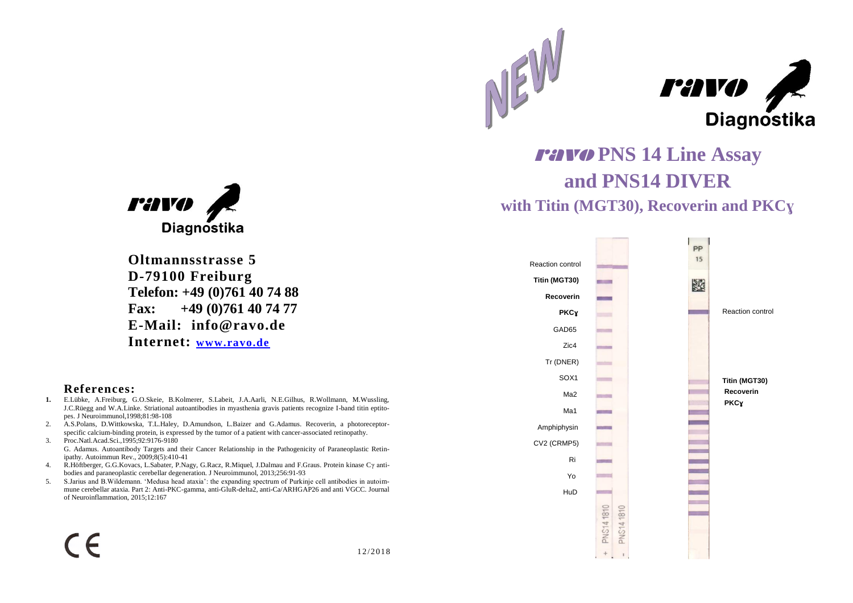



ravo **PNS 14 Line Assay and PNS14 DIVER with Titin (MGT30), Recoverin and PKCɣ**





**Oltmannsstrasse 5 D-79100 Freiburg Telefon: +49 (0)761 40 74 88 Fax: +49 (0)761 40 74 77 E-Mail: info@ravo.de Internet: [www.ravo.de](http://www.ravo.de/)**

## **References:**

- **1.** E.Lübke, A.Freiburg, G.O.Skeie, B.Kolmerer, S.Labeit, J.A.Aarli, N.E.Gilhus, R.Wollmann, M.Wussling, J.C.Rüegg and W.A.Linke. Striational autoantibodies in myasthenia gravis patients recognize I-band titin eptitopes. J Neuroimmunol,1998;81:98-108
- 2. A.S.Polans, D.Wittkowska, T.L.Haley, D.Amundson, L.Baizer and G.Adamus. Recoverin, a photoreceptorspecific calcium-binding protein, is expressed by the tumor of a patient with cancer-associated retinopathy.
- 3. Proc.Natl.Acad.Sci.,1995;92:9176-9180 G. Adamus. Autoantibody Targets and their Cancer Relationship in the Pathogenicity of Paraneoplastic Retinipathy. Autoimmun Rev., 2009;8(5):410-41
- 4. R.Höftberger, G.G.Kovacs, L.Sabater, P.Nagy, G.Racz, R.Miquel, J.Dalmau and F.Graus. Protein kinase Cγ antibodies and paraneoplastic cerebellar degeneration. J Neuroimmunol, 2013;256:91-93
- 5. S.Jarius and B.Wildemann. 'Medusa head ataxia': the expanding spectrum of Purkinje cell antibodies in autoimmune cerebellar ataxia. Part 2: Anti-PKC-gamma, anti-GluR-delta2, anti-Ca/ARHGAP26 and anti VGCC. Journal of Neuroinflammation, 2015;12:167